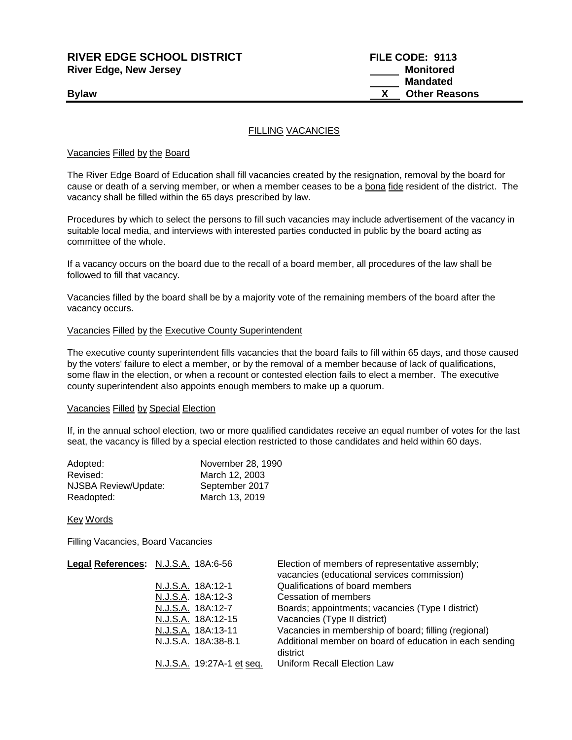## **RIVER EDGE SCHOOL DISTRICT FILE CODE: 9113 River Edge, New Jersey Monitored Monitored**

 **Mandated Bylaw Bylaw Bylaw COLLEGE AT A COLLEGE AND <b>COLLEGE AT A COLLEGE AT A COLLEGE AT A COLLEGE AT A COLLEGE AT A COLLEGE AT A COLLEGE AT A COLLEGE AT A COLLEGE AT A COLLEGE AT A COLLEGE AT A COLLEGE AT A COLLEGE AT A CO** 

### FILLING VACANCIES

### Vacancies Filled by the Board

The River Edge Board of Education shall fill vacancies created by the resignation, removal by the board for cause or death of a serving member, or when a member ceases to be a bona fide resident of the district. The vacancy shall be filled within the 65 days prescribed by law.

Procedures by which to select the persons to fill such vacancies may include advertisement of the vacancy in suitable local media, and interviews with interested parties conducted in public by the board acting as committee of the whole.

If a vacancy occurs on the board due to the recall of a board member, all procedures of the law shall be followed to fill that vacancy.

Vacancies filled by the board shall be by a majority vote of the remaining members of the board after the vacancy occurs.

#### Vacancies Filled by the Executive County Superintendent

The executive county superintendent fills vacancies that the board fails to fill within 65 days, and those caused by the voters' failure to elect a member, or by the removal of a member because of lack of qualifications, some flaw in the election, or when a recount or contested election fails to elect a member. The executive county superintendent also appoints enough members to make up a quorum.

#### Vacancies Filled by Special Election

If, in the annual school election, two or more qualified candidates receive an equal number of votes for the last seat, the vacancy is filled by a special election restricted to those candidates and held within 60 days.

| Adopted:             | November 28, 1990 |
|----------------------|-------------------|
| Revised:             | March 12, 2003    |
| NJSBA Review/Update: | September 2017    |
| Readopted:           | March 13, 2019    |

Key Words

Filling Vacancies, Board Vacancies

| Legal References: N.J.S.A. 18A:6-56 | Election of members of representative assembly;<br>vacancies (educational services commission) |
|-------------------------------------|------------------------------------------------------------------------------------------------|
| N.J.S.A. 18A:12-1                   | Qualifications of board members                                                                |
| N.J.S.A. 18A:12-3                   | Cessation of members                                                                           |
| N.J.S.A. 18A:12-7                   | Boards; appointments; vacancies (Type I district)                                              |
| N.J.S.A. 18A:12-15                  | Vacancies (Type II district)                                                                   |
| N.J.S.A. 18A:13-11                  | Vacancies in membership of board; filling (regional)                                           |
| N.J.S.A. 18A:38-8.1                 | Additional member on board of education in each sending                                        |
|                                     | district                                                                                       |
| N.J.S.A. 19:27A-1 et seq.           | Uniform Recall Election Law                                                                    |
|                                     |                                                                                                |